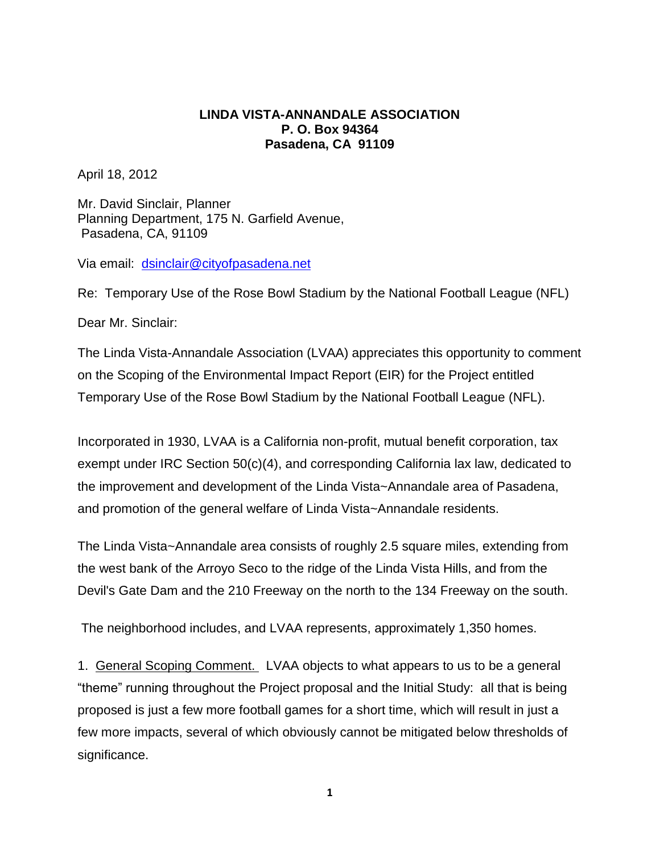## **LINDA VISTA-ANNANDALE ASSOCIATION P. O. Box 94364 Pasadena, CA 91109**

April 18, 2012

Mr. David Sinclair, Planner Planning Department, 175 N. Garfield Avenue, Pasadena, CA, 91109

Via email: [dsinclair@cityofpasadena.net](mailto:dsinclair@cityofpasadena.net)

Re: Temporary Use of the Rose Bowl Stadium by the National Football League (NFL)

Dear Mr. Sinclair:

The Linda Vista-Annandale Association (LVAA) appreciates this opportunity to comment on the Scoping of the Environmental Impact Report (EIR) for the Project entitled Temporary Use of the Rose Bowl Stadium by the National Football League (NFL).

Incorporated in 1930, LVAA is a California non-profit, mutual benefit corporation, tax exempt under IRC Section 50(c)(4), and corresponding California lax law, dedicated to the improvement and development of the Linda Vista~Annandale area of Pasadena, and promotion of the general welfare of Linda Vista~Annandale residents.

The Linda Vista~Annandale area consists of roughly 2.5 square miles, extending from the west bank of the Arroyo Seco to the ridge of the Linda Vista Hills, and from the Devil's Gate Dam and the 210 Freeway on the north to the 134 Freeway on the south.

The neighborhood includes, and LVAA represents, approximately 1,350 homes.

1. General Scoping Comment. LVAA objects to what appears to us to be a general "theme" running throughout the Project proposal and the Initial Study: all that is being proposed is just a few more football games for a short time, which will result in just a few more impacts, several of which obviously cannot be mitigated below thresholds of significance.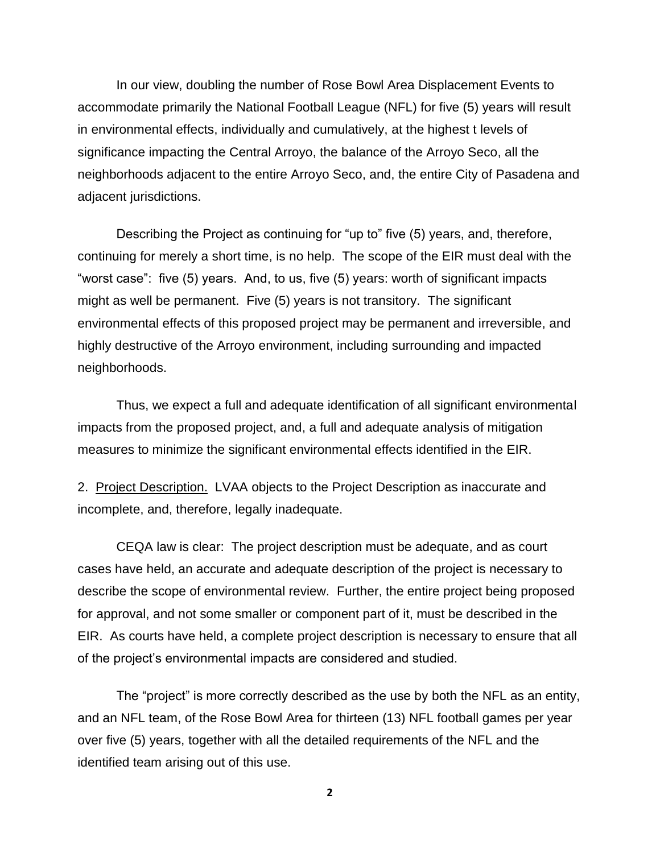In our view, doubling the number of Rose Bowl Area Displacement Events to accommodate primarily the National Football League (NFL) for five (5) years will result in environmental effects, individually and cumulatively, at the highest t levels of significance impacting the Central Arroyo, the balance of the Arroyo Seco, all the neighborhoods adjacent to the entire Arroyo Seco, and, the entire City of Pasadena and adjacent jurisdictions.

Describing the Project as continuing for "up to" five (5) years, and, therefore, continuing for merely a short time, is no help. The scope of the EIR must deal with the "worst case": five (5) years. And, to us, five (5) years: worth of significant impacts might as well be permanent. Five (5) years is not transitory. The significant environmental effects of this proposed project may be permanent and irreversible, and highly destructive of the Arroyo environment, including surrounding and impacted neighborhoods.

Thus, we expect a full and adequate identification of all significant environmental impacts from the proposed project, and, a full and adequate analysis of mitigation measures to minimize the significant environmental effects identified in the EIR.

2. Project Description. LVAA objects to the Project Description as inaccurate and incomplete, and, therefore, legally inadequate.

CEQA law is clear: The project description must be adequate, and as court cases have held, an accurate and adequate description of the project is necessary to describe the scope of environmental review. Further, the entire project being proposed for approval, and not some smaller or component part of it, must be described in the EIR. As courts have held, a complete project description is necessary to ensure that all of the project's environmental impacts are considered and studied.

The "project" is more correctly described as the use by both the NFL as an entity, and an NFL team, of the Rose Bowl Area for thirteen (13) NFL football games per year over five (5) years, together with all the detailed requirements of the NFL and the identified team arising out of this use.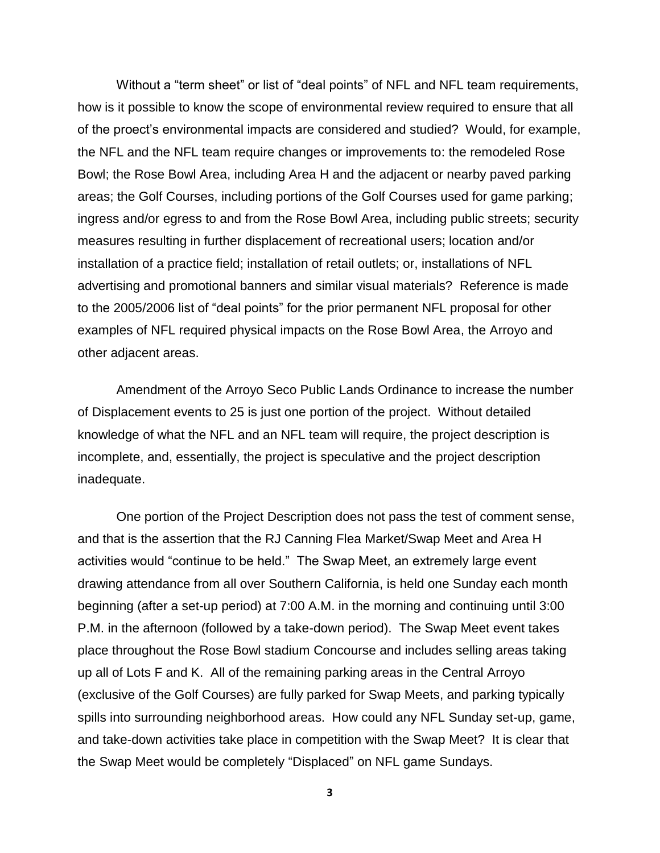Without a "term sheet" or list of "deal points" of NFL and NFL team requirements, how is it possible to know the scope of environmental review required to ensure that all of the proect's environmental impacts are considered and studied? Would, for example, the NFL and the NFL team require changes or improvements to: the remodeled Rose Bowl; the Rose Bowl Area, including Area H and the adjacent or nearby paved parking areas; the Golf Courses, including portions of the Golf Courses used for game parking; ingress and/or egress to and from the Rose Bowl Area, including public streets; security measures resulting in further displacement of recreational users; location and/or installation of a practice field; installation of retail outlets; or, installations of NFL advertising and promotional banners and similar visual materials? Reference is made to the 2005/2006 list of "deal points" for the prior permanent NFL proposal for other examples of NFL required physical impacts on the Rose Bowl Area, the Arroyo and other adjacent areas.

Amendment of the Arroyo Seco Public Lands Ordinance to increase the number of Displacement events to 25 is just one portion of the project. Without detailed knowledge of what the NFL and an NFL team will require, the project description is incomplete, and, essentially, the project is speculative and the project description inadequate.

One portion of the Project Description does not pass the test of comment sense, and that is the assertion that the RJ Canning Flea Market/Swap Meet and Area H activities would "continue to be held." The Swap Meet, an extremely large event drawing attendance from all over Southern California, is held one Sunday each month beginning (after a set-up period) at 7:00 A.M. in the morning and continuing until 3:00 P.M. in the afternoon (followed by a take-down period). The Swap Meet event takes place throughout the Rose Bowl stadium Concourse and includes selling areas taking up all of Lots F and K. All of the remaining parking areas in the Central Arroyo (exclusive of the Golf Courses) are fully parked for Swap Meets, and parking typically spills into surrounding neighborhood areas. How could any NFL Sunday set-up, game, and take-down activities take place in competition with the Swap Meet? It is clear that the Swap Meet would be completely "Displaced" on NFL game Sundays.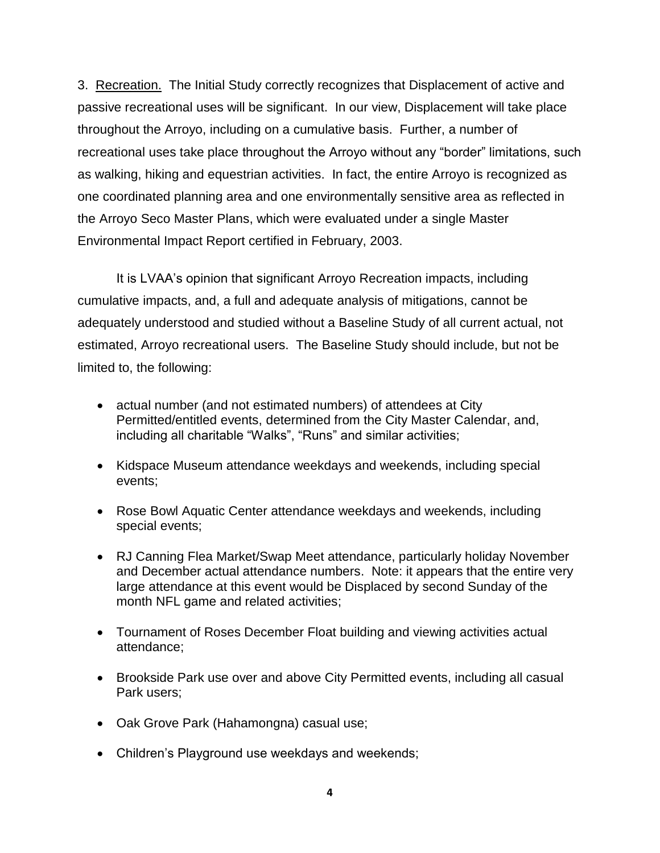3. Recreation. The Initial Study correctly recognizes that Displacement of active and passive recreational uses will be significant. In our view, Displacement will take place throughout the Arroyo, including on a cumulative basis. Further, a number of recreational uses take place throughout the Arroyo without any "border" limitations, such as walking, hiking and equestrian activities. In fact, the entire Arroyo is recognized as one coordinated planning area and one environmentally sensitive area as reflected in the Arroyo Seco Master Plans, which were evaluated under a single Master Environmental Impact Report certified in February, 2003.

It is LVAA's opinion that significant Arroyo Recreation impacts, including cumulative impacts, and, a full and adequate analysis of mitigations, cannot be adequately understood and studied without a Baseline Study of all current actual, not estimated, Arroyo recreational users. The Baseline Study should include, but not be limited to, the following:

- actual number (and not estimated numbers) of attendees at City Permitted/entitled events, determined from the City Master Calendar, and, including all charitable "Walks", "Runs" and similar activities;
- Kidspace Museum attendance weekdays and weekends, including special events;
- Rose Bowl Aquatic Center attendance weekdays and weekends, including special events;
- RJ Canning Flea Market/Swap Meet attendance, particularly holiday November and December actual attendance numbers. Note: it appears that the entire very large attendance at this event would be Displaced by second Sunday of the month NFL game and related activities;
- Tournament of Roses December Float building and viewing activities actual attendance;
- Brookside Park use over and above City Permitted events, including all casual Park users;
- Oak Grove Park (Hahamongna) casual use;
- Children's Playground use weekdays and weekends;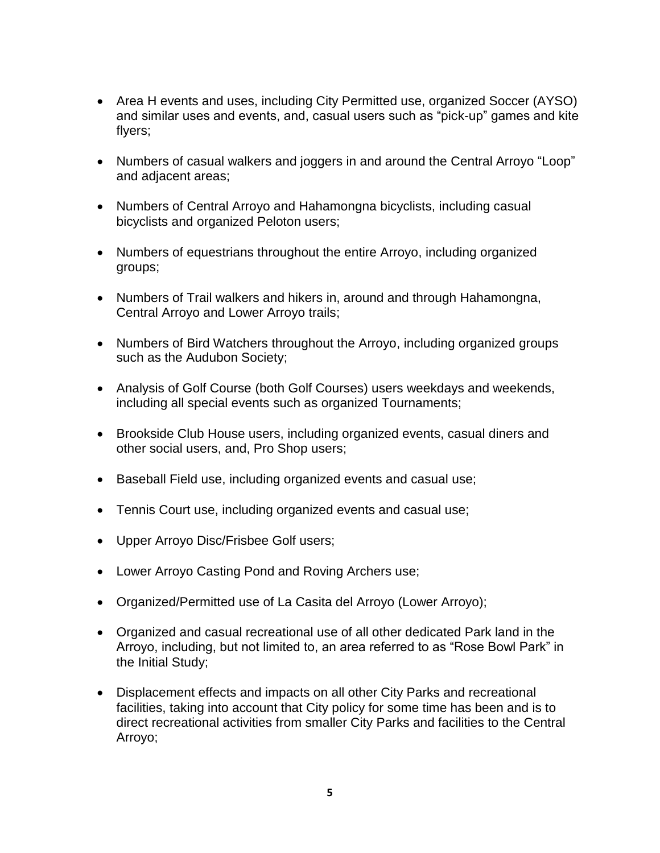- Area H events and uses, including City Permitted use, organized Soccer (AYSO) and similar uses and events, and, casual users such as "pick-up" games and kite flyers;
- Numbers of casual walkers and joggers in and around the Central Arroyo "Loop" and adjacent areas;
- Numbers of Central Arroyo and Hahamongna bicyclists, including casual bicyclists and organized Peloton users;
- Numbers of equestrians throughout the entire Arroyo, including organized groups;
- Numbers of Trail walkers and hikers in, around and through Hahamongna, Central Arroyo and Lower Arroyo trails;
- Numbers of Bird Watchers throughout the Arroyo, including organized groups such as the Audubon Society;
- Analysis of Golf Course (both Golf Courses) users weekdays and weekends, including all special events such as organized Tournaments;
- Brookside Club House users, including organized events, casual diners and other social users, and, Pro Shop users;
- Baseball Field use, including organized events and casual use;
- Tennis Court use, including organized events and casual use;
- Upper Arroyo Disc/Frisbee Golf users;
- Lower Arroyo Casting Pond and Roving Archers use;
- Organized/Permitted use of La Casita del Arroyo (Lower Arroyo);
- Organized and casual recreational use of all other dedicated Park land in the Arroyo, including, but not limited to, an area referred to as "Rose Bowl Park" in the Initial Study;
- Displacement effects and impacts on all other City Parks and recreational facilities, taking into account that City policy for some time has been and is to direct recreational activities from smaller City Parks and facilities to the Central Arroyo;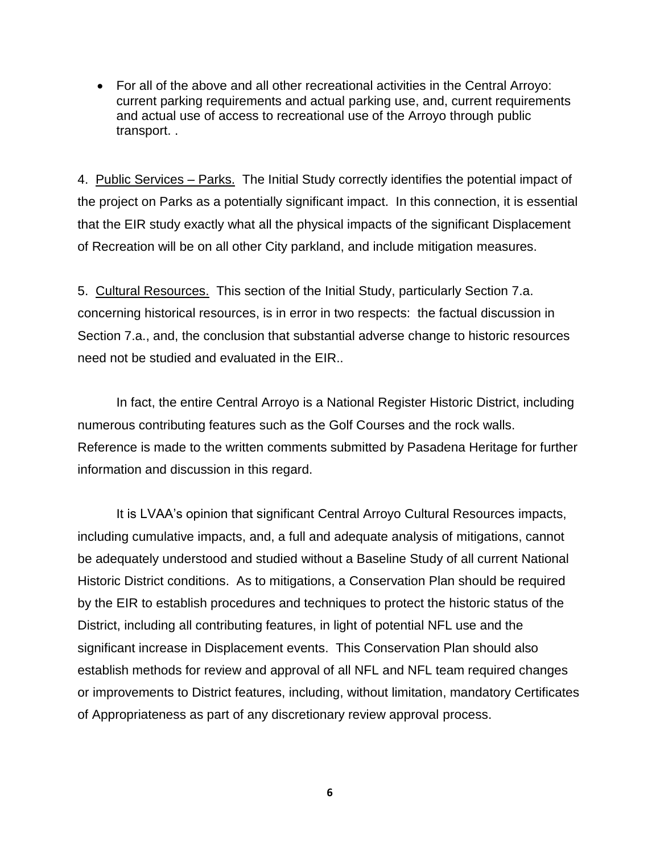For all of the above and all other recreational activities in the Central Arroyo: current parking requirements and actual parking use, and, current requirements and actual use of access to recreational use of the Arroyo through public transport. .

4. Public Services – Parks. The Initial Study correctly identifies the potential impact of the project on Parks as a potentially significant impact. In this connection, it is essential that the EIR study exactly what all the physical impacts of the significant Displacement of Recreation will be on all other City parkland, and include mitigation measures.

5. Cultural Resources. This section of the Initial Study, particularly Section 7.a. concerning historical resources, is in error in two respects: the factual discussion in Section 7.a., and, the conclusion that substantial adverse change to historic resources need not be studied and evaluated in the EIR..

In fact, the entire Central Arroyo is a National Register Historic District, including numerous contributing features such as the Golf Courses and the rock walls. Reference is made to the written comments submitted by Pasadena Heritage for further information and discussion in this regard.

It is LVAA's opinion that significant Central Arroyo Cultural Resources impacts, including cumulative impacts, and, a full and adequate analysis of mitigations, cannot be adequately understood and studied without a Baseline Study of all current National Historic District conditions. As to mitigations, a Conservation Plan should be required by the EIR to establish procedures and techniques to protect the historic status of the District, including all contributing features, in light of potential NFL use and the significant increase in Displacement events. This Conservation Plan should also establish methods for review and approval of all NFL and NFL team required changes or improvements to District features, including, without limitation, mandatory Certificates of Appropriateness as part of any discretionary review approval process.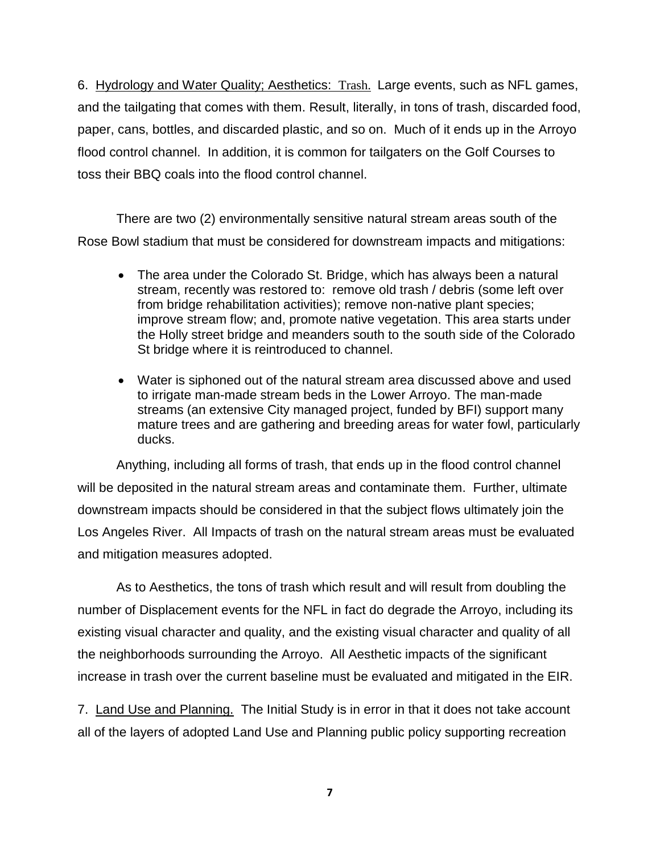6. Hydrology and Water Quality; Aesthetics: Trash. Large events, such as NFL games, and the tailgating that comes with them. Result, literally, in tons of trash, discarded food, paper, cans, bottles, and discarded plastic, and so on. Much of it ends up in the Arroyo flood control channel. In addition, it is common for tailgaters on the Golf Courses to toss their BBQ coals into the flood control channel.

There are two (2) environmentally sensitive natural stream areas south of the Rose Bowl stadium that must be considered for downstream impacts and mitigations:

- The area under the Colorado St. Bridge, which has always been a natural stream, recently was restored to: remove old trash / debris (some left over from bridge rehabilitation activities); remove non-native plant species; improve stream flow; and, promote native vegetation. This area starts under the Holly street bridge and meanders south to the south side of the Colorado St bridge where it is reintroduced to channel.
- Water is siphoned out of the natural stream area discussed above and used to irrigate man-made stream beds in the Lower Arroyo. The man-made streams (an extensive City managed project, funded by BFI) support many mature trees and are gathering and breeding areas for water fowl, particularly ducks.

Anything, including all forms of trash, that ends up in the flood control channel will be deposited in the natural stream areas and contaminate them. Further, ultimate downstream impacts should be considered in that the subject flows ultimately join the Los Angeles River. All Impacts of trash on the natural stream areas must be evaluated and mitigation measures adopted.

As to Aesthetics, the tons of trash which result and will result from doubling the number of Displacement events for the NFL in fact do degrade the Arroyo, including its existing visual character and quality, and the existing visual character and quality of all the neighborhoods surrounding the Arroyo. All Aesthetic impacts of the significant increase in trash over the current baseline must be evaluated and mitigated in the EIR.

7. Land Use and Planning. The Initial Study is in error in that it does not take account all of the layers of adopted Land Use and Planning public policy supporting recreation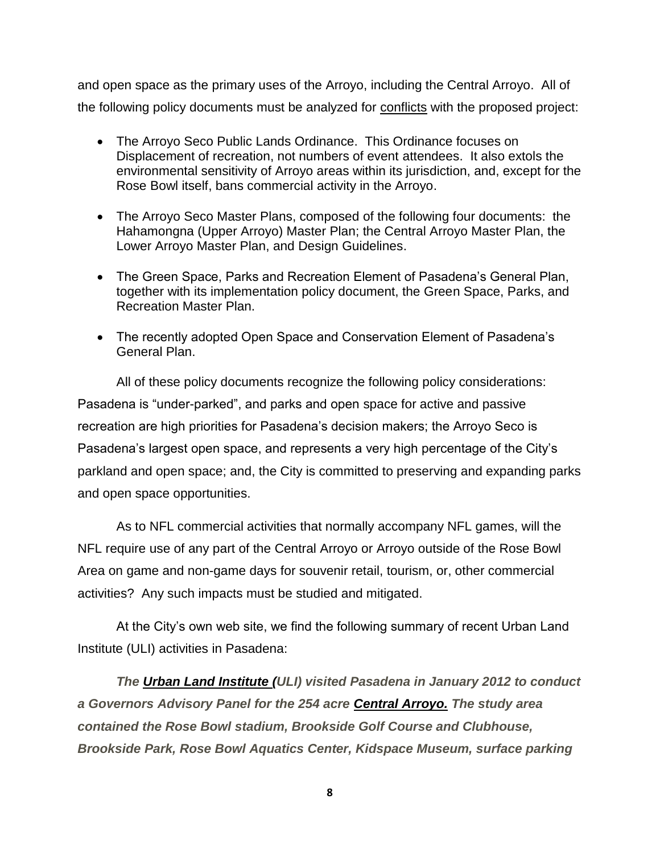and open space as the primary uses of the Arroyo, including the Central Arroyo. All of the following policy documents must be analyzed for conflicts with the proposed project:

- The Arroyo Seco Public Lands Ordinance. This Ordinance focuses on Displacement of recreation, not numbers of event attendees. It also extols the environmental sensitivity of Arroyo areas within its jurisdiction, and, except for the Rose Bowl itself, bans commercial activity in the Arroyo.
- The Arroyo Seco Master Plans, composed of the following four documents: the Hahamongna (Upper Arroyo) Master Plan; the Central Arroyo Master Plan, the Lower Arroyo Master Plan, and Design Guidelines.
- The Green Space, Parks and Recreation Element of Pasadena's General Plan, together with its implementation policy document, the Green Space, Parks, and Recreation Master Plan.
- The recently adopted Open Space and Conservation Element of Pasadena's General Plan.

All of these policy documents recognize the following policy considerations: Pasadena is "under-parked", and parks and open space for active and passive recreation are high priorities for Pasadena's decision makers; the Arroyo Seco is Pasadena's largest open space, and represents a very high percentage of the City's parkland and open space; and, the City is committed to preserving and expanding parks and open space opportunities.

As to NFL commercial activities that normally accompany NFL games, will the NFL require use of any part of the Central Arroyo or Arroyo outside of the Rose Bowl Area on game and non-game days for souvenir retail, tourism, or, other commercial activities? Any such impacts must be studied and mitigated.

At the City's own web site, we find the following summary of recent Urban Land Institute (ULI) activities in Pasadena:

*The [Urban Land Institute \(](http://uli.org/)ULI) visited Pasadena in January 2012 to conduct a Governors Advisory Panel for the 254 acre [Central Arroyo.](http://www.ci.pasadena.ca.us/PublicWorks/Arroyo_Seco/) The study area contained the Rose Bowl stadium, Brookside Golf Course and Clubhouse, Brookside Park, Rose Bowl Aquatics Center, Kidspace Museum, surface parking*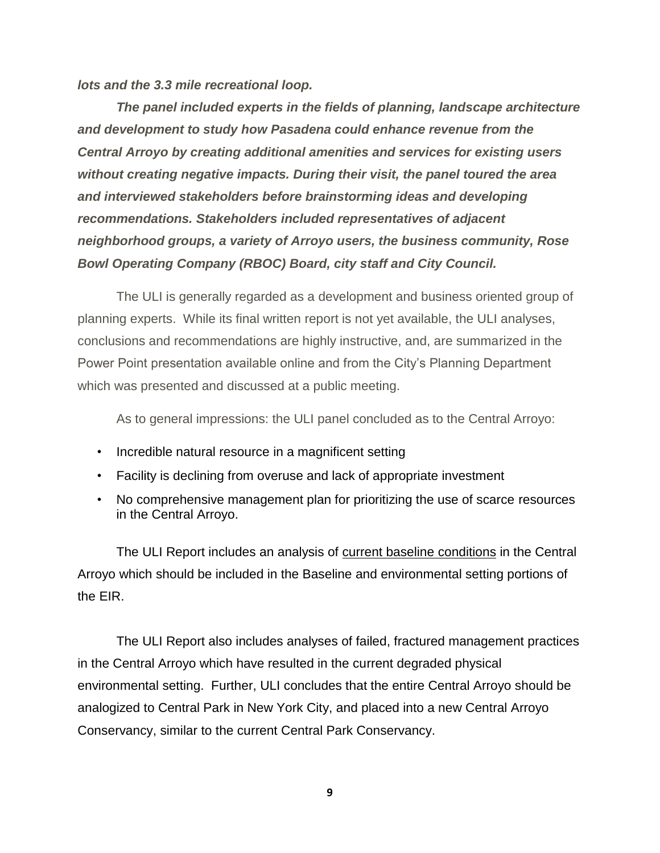*lots and the 3.3 mile recreational loop.* 

*The panel included experts in the fields of planning, landscape architecture and development to study how Pasadena could enhance revenue from the Central Arroyo by creating additional amenities and services for existing users without creating negative impacts. During their visit, the panel toured the area and interviewed stakeholders before brainstorming ideas and developing recommendations. Stakeholders included representatives of adjacent neighborhood groups, a variety of Arroyo users, the business community, Rose Bowl Operating Company (RBOC) Board, city staff and City Council.*

The ULI is generally regarded as a development and business oriented group of planning experts. While its final written report is not yet available, the ULI analyses, conclusions and recommendations are highly instructive, and, are summarized in the Power Point presentation available online and from the City's Planning Department which was presented and discussed at a public meeting.

As to general impressions: the ULI panel concluded as to the Central Arroyo:

- Incredible natural resource in a magnificent setting
- Facility is declining from overuse and lack of appropriate investment
- No comprehensive management plan for prioritizing the use of scarce resources in the Central Arroyo.

The ULI Report includes an analysis of current baseline conditions in the Central Arroyo which should be included in the Baseline and environmental setting portions of the EIR.

The ULI Report also includes analyses of failed, fractured management practices in the Central Arroyo which have resulted in the current degraded physical environmental setting. Further, ULI concludes that the entire Central Arroyo should be analogized to Central Park in New York City, and placed into a new Central Arroyo Conservancy, similar to the current Central Park Conservancy.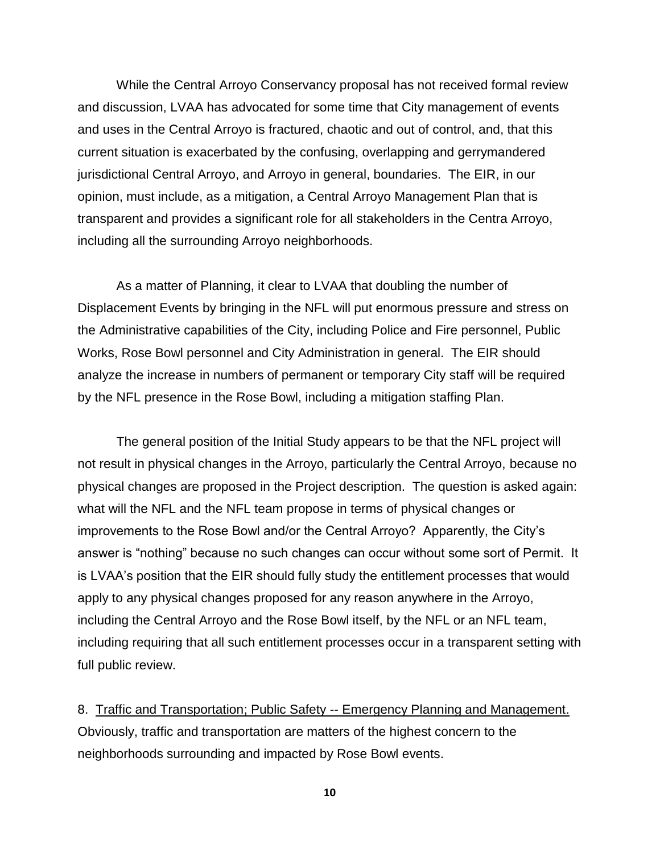While the Central Arroyo Conservancy proposal has not received formal review and discussion, LVAA has advocated for some time that City management of events and uses in the Central Arroyo is fractured, chaotic and out of control, and, that this current situation is exacerbated by the confusing, overlapping and gerrymandered jurisdictional Central Arroyo, and Arroyo in general, boundaries. The EIR, in our opinion, must include, as a mitigation, a Central Arroyo Management Plan that is transparent and provides a significant role for all stakeholders in the Centra Arroyo, including all the surrounding Arroyo neighborhoods.

As a matter of Planning, it clear to LVAA that doubling the number of Displacement Events by bringing in the NFL will put enormous pressure and stress on the Administrative capabilities of the City, including Police and Fire personnel, Public Works, Rose Bowl personnel and City Administration in general. The EIR should analyze the increase in numbers of permanent or temporary City staff will be required by the NFL presence in the Rose Bowl, including a mitigation staffing Plan.

The general position of the Initial Study appears to be that the NFL project will not result in physical changes in the Arroyo, particularly the Central Arroyo, because no physical changes are proposed in the Project description. The question is asked again: what will the NFL and the NFL team propose in terms of physical changes or improvements to the Rose Bowl and/or the Central Arroyo? Apparently, the City's answer is "nothing" because no such changes can occur without some sort of Permit. It is LVAA's position that the EIR should fully study the entitlement processes that would apply to any physical changes proposed for any reason anywhere in the Arroyo, including the Central Arroyo and the Rose Bowl itself, by the NFL or an NFL team, including requiring that all such entitlement processes occur in a transparent setting with full public review.

8. Traffic and Transportation; Public Safety -- Emergency Planning and Management. Obviously, traffic and transportation are matters of the highest concern to the neighborhoods surrounding and impacted by Rose Bowl events.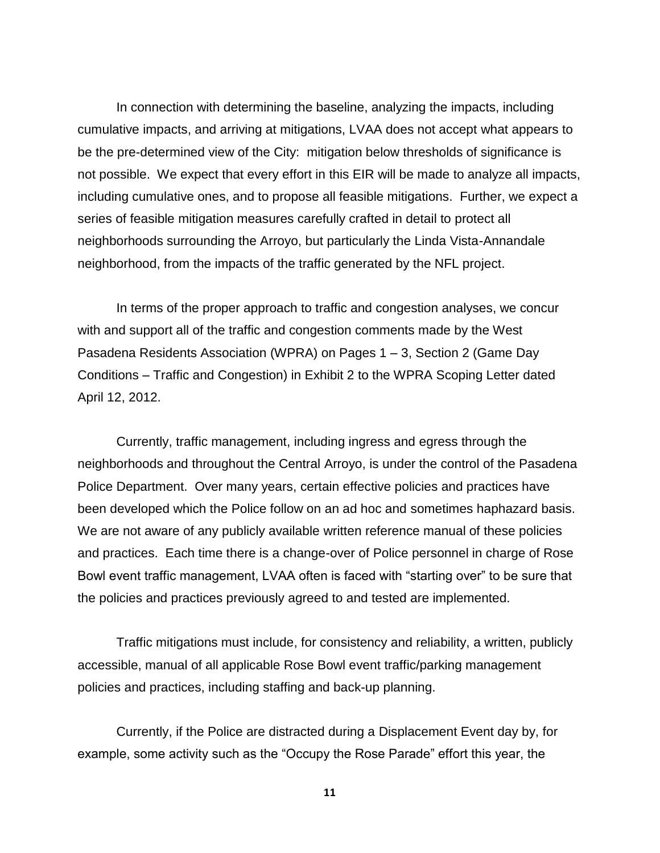In connection with determining the baseline, analyzing the impacts, including cumulative impacts, and arriving at mitigations, LVAA does not accept what appears to be the pre-determined view of the City: mitigation below thresholds of significance is not possible. We expect that every effort in this EIR will be made to analyze all impacts, including cumulative ones, and to propose all feasible mitigations. Further, we expect a series of feasible mitigation measures carefully crafted in detail to protect all neighborhoods surrounding the Arroyo, but particularly the Linda Vista-Annandale neighborhood, from the impacts of the traffic generated by the NFL project.

In terms of the proper approach to traffic and congestion analyses, we concur with and support all of the traffic and congestion comments made by the West Pasadena Residents Association (WPRA) on Pages 1 – 3, Section 2 (Game Day Conditions – Traffic and Congestion) in Exhibit 2 to the WPRA Scoping Letter dated April 12, 2012.

Currently, traffic management, including ingress and egress through the neighborhoods and throughout the Central Arroyo, is under the control of the Pasadena Police Department. Over many years, certain effective policies and practices have been developed which the Police follow on an ad hoc and sometimes haphazard basis. We are not aware of any publicly available written reference manual of these policies and practices. Each time there is a change-over of Police personnel in charge of Rose Bowl event traffic management, LVAA often is faced with "starting over" to be sure that the policies and practices previously agreed to and tested are implemented.

Traffic mitigations must include, for consistency and reliability, a written, publicly accessible, manual of all applicable Rose Bowl event traffic/parking management policies and practices, including staffing and back-up planning.

Currently, if the Police are distracted during a Displacement Event day by, for example, some activity such as the "Occupy the Rose Parade" effort this year, the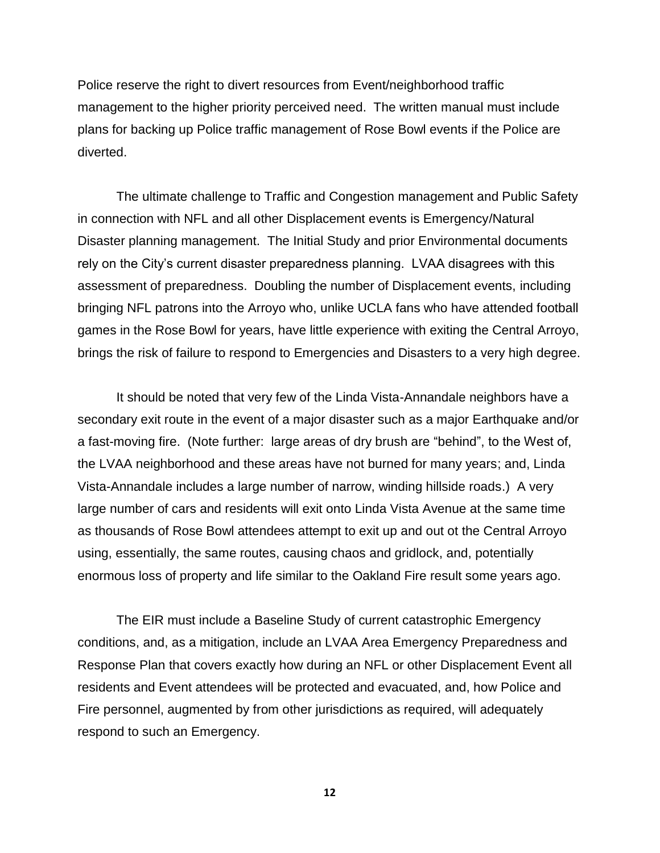Police reserve the right to divert resources from Event/neighborhood traffic management to the higher priority perceived need. The written manual must include plans for backing up Police traffic management of Rose Bowl events if the Police are diverted.

The ultimate challenge to Traffic and Congestion management and Public Safety in connection with NFL and all other Displacement events is Emergency/Natural Disaster planning management. The Initial Study and prior Environmental documents rely on the City's current disaster preparedness planning. LVAA disagrees with this assessment of preparedness. Doubling the number of Displacement events, including bringing NFL patrons into the Arroyo who, unlike UCLA fans who have attended football games in the Rose Bowl for years, have little experience with exiting the Central Arroyo, brings the risk of failure to respond to Emergencies and Disasters to a very high degree.

It should be noted that very few of the Linda Vista-Annandale neighbors have a secondary exit route in the event of a major disaster such as a major Earthquake and/or a fast-moving fire. (Note further: large areas of dry brush are "behind", to the West of, the LVAA neighborhood and these areas have not burned for many years; and, Linda Vista-Annandale includes a large number of narrow, winding hillside roads.) A very large number of cars and residents will exit onto Linda Vista Avenue at the same time as thousands of Rose Bowl attendees attempt to exit up and out ot the Central Arroyo using, essentially, the same routes, causing chaos and gridlock, and, potentially enormous loss of property and life similar to the Oakland Fire result some years ago.

The EIR must include a Baseline Study of current catastrophic Emergency conditions, and, as a mitigation, include an LVAA Area Emergency Preparedness and Response Plan that covers exactly how during an NFL or other Displacement Event all residents and Event attendees will be protected and evacuated, and, how Police and Fire personnel, augmented by from other jurisdictions as required, will adequately respond to such an Emergency.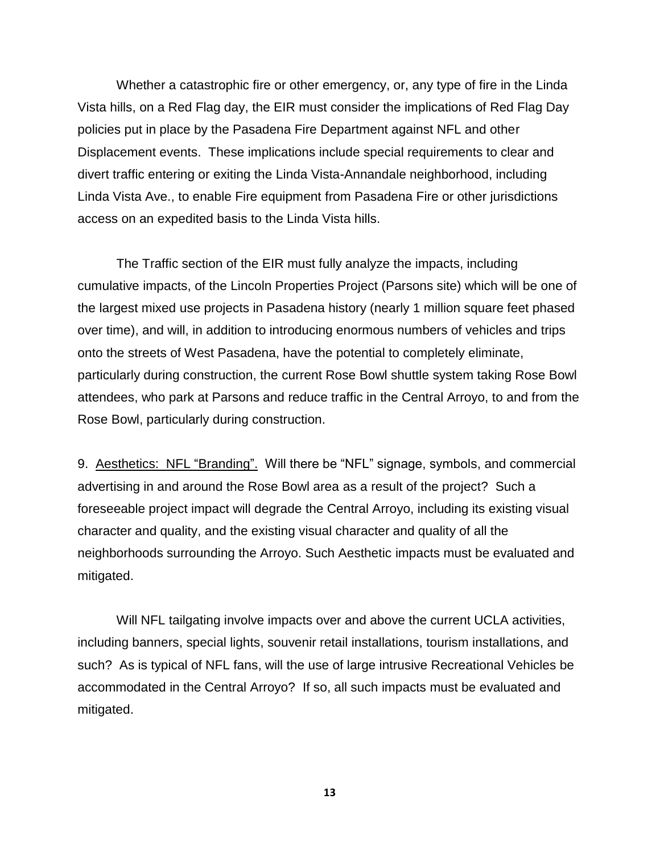Whether a catastrophic fire or other emergency, or, any type of fire in the Linda Vista hills, on a Red Flag day, the EIR must consider the implications of Red Flag Day policies put in place by the Pasadena Fire Department against NFL and other Displacement events. These implications include special requirements to clear and divert traffic entering or exiting the Linda Vista-Annandale neighborhood, including Linda Vista Ave., to enable Fire equipment from Pasadena Fire or other jurisdictions access on an expedited basis to the Linda Vista hills.

The Traffic section of the EIR must fully analyze the impacts, including cumulative impacts, of the Lincoln Properties Project (Parsons site) which will be one of the largest mixed use projects in Pasadena history (nearly 1 million square feet phased over time), and will, in addition to introducing enormous numbers of vehicles and trips onto the streets of West Pasadena, have the potential to completely eliminate, particularly during construction, the current Rose Bowl shuttle system taking Rose Bowl attendees, who park at Parsons and reduce traffic in the Central Arroyo, to and from the Rose Bowl, particularly during construction.

9. Aesthetics: NFL "Branding". Will there be "NFL" signage, symbols, and commercial advertising in and around the Rose Bowl area as a result of the project? Such a foreseeable project impact will degrade the Central Arroyo, including its existing visual character and quality, and the existing visual character and quality of all the neighborhoods surrounding the Arroyo. Such Aesthetic impacts must be evaluated and mitigated.

Will NFL tailgating involve impacts over and above the current UCLA activities, including banners, special lights, souvenir retail installations, tourism installations, and such? As is typical of NFL fans, will the use of large intrusive Recreational Vehicles be accommodated in the Central Arroyo? If so, all such impacts must be evaluated and mitigated.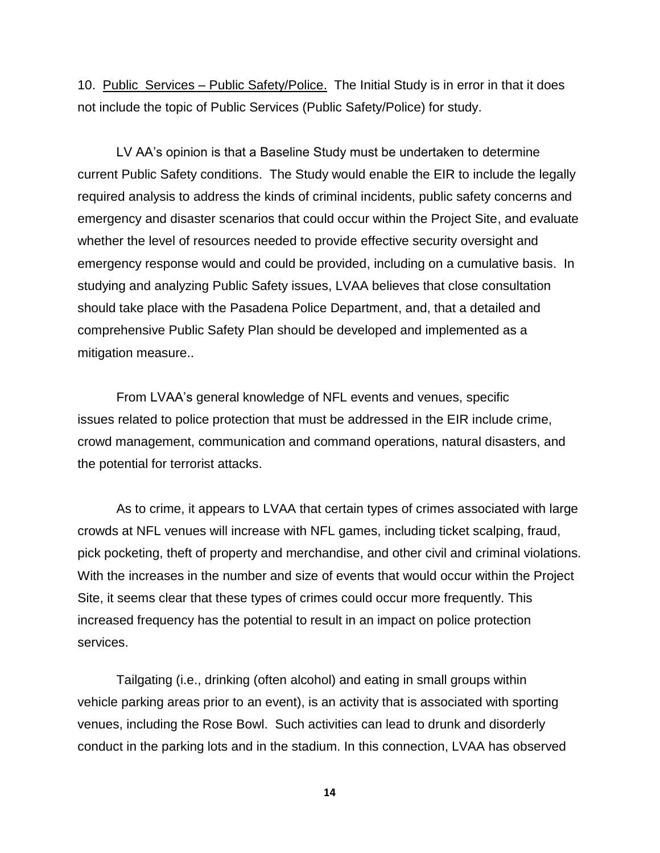10. Public Services – Public Safety/Police. The Initial Study is in error in that it does not include the topic of Public Services (Public Safety/Police) for study.

LV AA's opinion is that a Baseline Study must be undertaken to determine current Public Safety conditions. The Study would enable the EIR to include the legally required analysis to address the kinds of criminal incidents, public safety concerns and emergency and disaster scenarios that could occur within the Project Site, and evaluate whether the level of resources needed to provide effective security oversight and emergency response would and could be provided, including on a cumulative basis. In studying and analyzing Public Safety issues, LVAA believes that close consultation should take place with the Pasadena Police Department, and, that a detailed and comprehensive Public Safety Plan should be developed and implemented as a mitigation measure..

From LVAA's general knowledge of NFL events and venues, specific issues related to police protection that must be addressed in the EIR include crime, crowd management, communication and command operations, natural disasters, and the potential for terrorist attacks.

As to crime, it appears to LVAA that certain types of crimes associated with large crowds at NFL venues will increase with NFL games, including ticket scalping, fraud, pick pocketing, theft of property and merchandise, and other civil and criminal violations. With the increases in the number and size of events that would occur within the Project Site, it seems clear that these types of crimes could occur more frequently. This increased frequency has the potential to result in an impact on police protection services.

Tailgating (i.e., drinking (often alcohol) and eating in small groups within vehicle parking areas prior to an event), is an activity that is associated with sporting venues, including the Rose Bowl. Such activities can lead to drunk and disorderly conduct in the parking lots and in the stadium. In this connection, LVAA has observed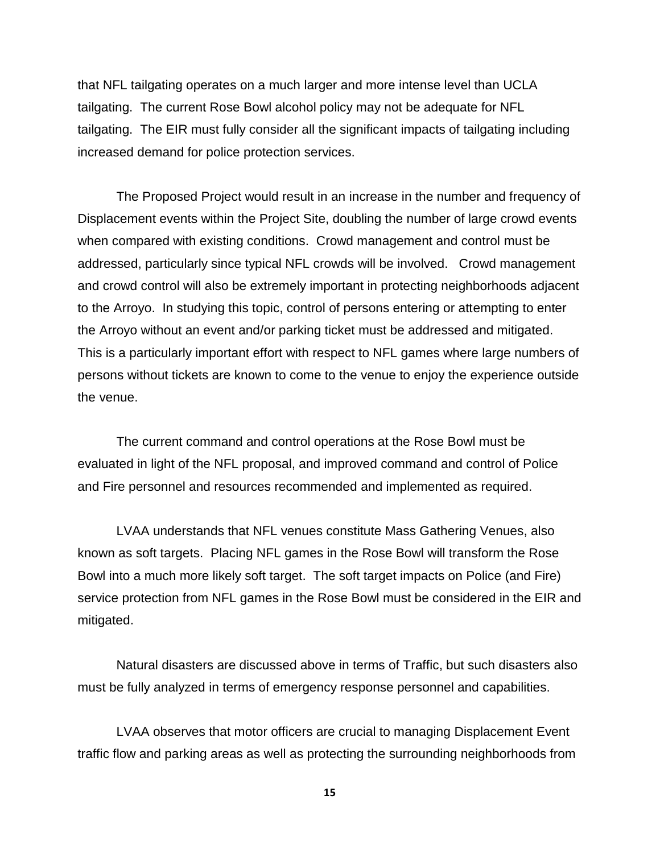that NFL tailgating operates on a much larger and more intense level than UCLA tailgating. The current Rose Bowl alcohol policy may not be adequate for NFL tailgating. The EIR must fully consider all the significant impacts of tailgating including increased demand for police protection services.

The Proposed Project would result in an increase in the number and frequency of Displacement events within the Project Site, doubling the number of large crowd events when compared with existing conditions. Crowd management and control must be addressed, particularly since typical NFL crowds will be involved. Crowd management and crowd control will also be extremely important in protecting neighborhoods adjacent to the Arroyo. In studying this topic, control of persons entering or attempting to enter the Arroyo without an event and/or parking ticket must be addressed and mitigated. This is a particularly important effort with respect to NFL games where large numbers of persons without tickets are known to come to the venue to enjoy the experience outside the venue.

The current command and control operations at the Rose Bowl must be evaluated in light of the NFL proposal, and improved command and control of Police and Fire personnel and resources recommended and implemented as required.

LVAA understands that NFL venues constitute Mass Gathering Venues, also known as soft targets. Placing NFL games in the Rose Bowl will transform the Rose Bowl into a much more likely soft target. The soft target impacts on Police (and Fire) service protection from NFL games in the Rose Bowl must be considered in the EIR and mitigated.

Natural disasters are discussed above in terms of Traffic, but such disasters also must be fully analyzed in terms of emergency response personnel and capabilities.

LVAA observes that motor officers are crucial to managing Displacement Event traffic flow and parking areas as well as protecting the surrounding neighborhoods from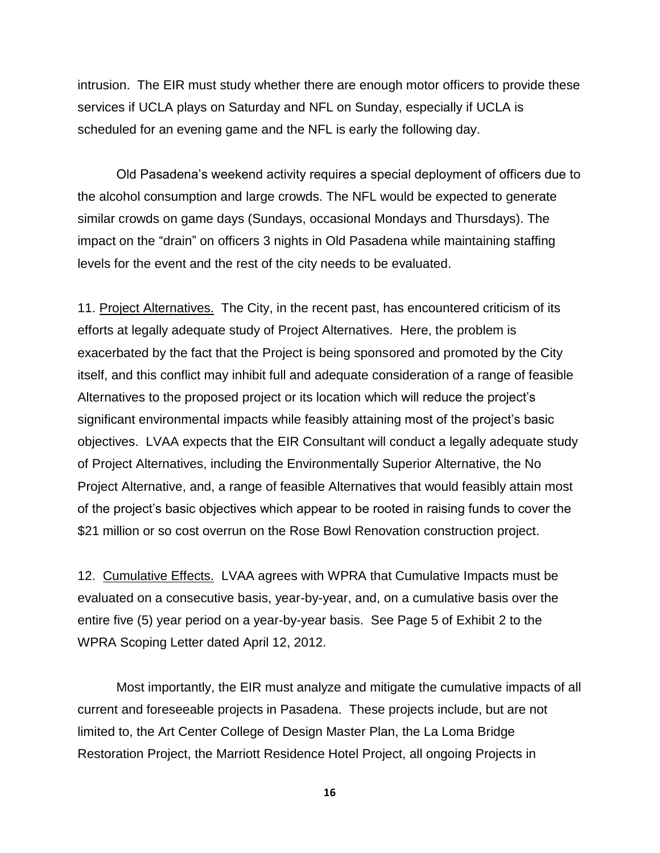intrusion. The EIR must study whether there are enough motor officers to provide these services if UCLA plays on Saturday and NFL on Sunday, especially if UCLA is scheduled for an evening game and the NFL is early the following day.

Old Pasadena's weekend activity requires a special deployment of officers due to the alcohol consumption and large crowds. The NFL would be expected to generate similar crowds on game days (Sundays, occasional Mondays and Thursdays). The impact on the "drain" on officers 3 nights in Old Pasadena while maintaining staffing levels for the event and the rest of the city needs to be evaluated.

11. Project Alternatives. The City, in the recent past, has encountered criticism of its efforts at legally adequate study of Project Alternatives. Here, the problem is exacerbated by the fact that the Project is being sponsored and promoted by the City itself, and this conflict may inhibit full and adequate consideration of a range of feasible Alternatives to the proposed project or its location which will reduce the project's significant environmental impacts while feasibly attaining most of the project's basic objectives. LVAA expects that the EIR Consultant will conduct a legally adequate study of Project Alternatives, including the Environmentally Superior Alternative, the No Project Alternative, and, a range of feasible Alternatives that would feasibly attain most of the project's basic objectives which appear to be rooted in raising funds to cover the \$21 million or so cost overrun on the Rose Bowl Renovation construction project.

12. Cumulative Effects. LVAA agrees with WPRA that Cumulative Impacts must be evaluated on a consecutive basis, year-by-year, and, on a cumulative basis over the entire five (5) year period on a year-by-year basis. See Page 5 of Exhibit 2 to the WPRA Scoping Letter dated April 12, 2012.

Most importantly, the EIR must analyze and mitigate the cumulative impacts of all current and foreseeable projects in Pasadena. These projects include, but are not limited to, the Art Center College of Design Master Plan, the La Loma Bridge Restoration Project, the Marriott Residence Hotel Project, all ongoing Projects in